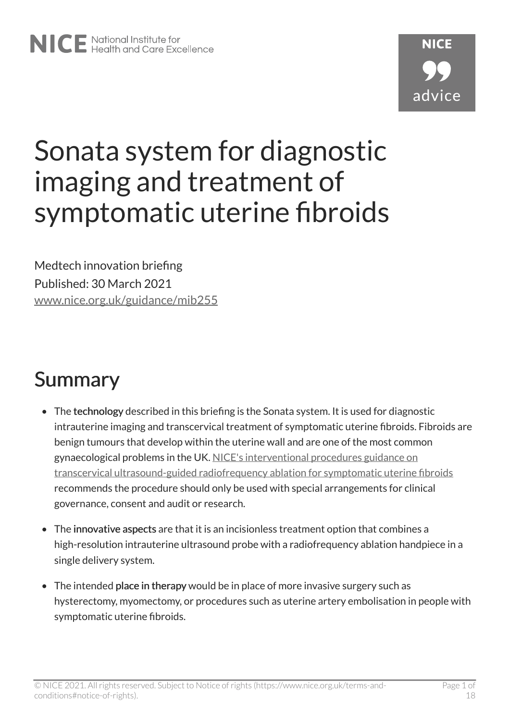# Sonata system for diagnostic imaging and treatment of symptomatic uterine fibroids

Medtech innovation briefing Published: 30 March 2021 [www.nice.org.uk/guidance/mib255](https://www.nice.org.uk/guidance/mib255)

# Summary

- The technology described in this briefing is the Sonata system. It is used for diagnostic intrauterine imaging and transcervical treatment of symptomatic uterine fibroids. Fibroids are benign tumours that develop within the uterine wall and are one of the most common gynaecological problems in the UK. [NICE's interventional procedures guidance on](https://www.nice.org.uk/guidance/ipg689)  [transcervical ultrasound-guided radiofrequency ablation for symptomatic uterine fibroids](https://www.nice.org.uk/guidance/ipg689) recommends the procedure should only be used with special arrangements for clinical governance, consent and audit or research.
- The innovative aspects are that it is an incisionless treatment option that combines a high-resolution intrauterine ultrasound probe with a radiofrequency ablation handpiece in a single delivery system.
- The intended place in therapy would be in place of more invasive surgery such as hysterectomy, myomectomy, or procedures such as uterine artery embolisation in people with symptomatic uterine fibroids.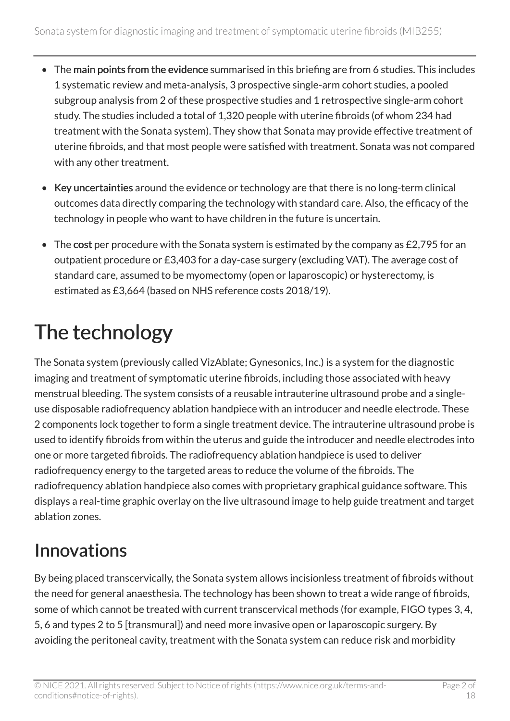- The main points from the evidence summarised in this briefing are from 6 studies. This includes 1 systematic review and meta-analysis, 3 prospective single-arm cohort studies, a pooled subgroup analysis from 2 of these prospective studies and 1 retrospective single-arm cohort study. The studies included a total of 1,320 people with uterine fibroids (of whom 234 had treatment with the Sonata system). They show that Sonata may provide effective treatment of uterine fibroids, and that most people were satisfied with treatment. Sonata was not compared with any other treatment.
- Key uncertainties around the evidence or technology are that there is no long-term clinical outcomes data directly comparing the technology with standard care. Also, the efficacy of the technology in people who want to have children in the future is uncertain.
- The cost per procedure with the Sonata system is estimated by the company as £2,795 for an outpatient procedure or £3,403 for a day-case surgery (excluding VAT). The average cost of standard care, assumed to be myomectomy (open or laparoscopic) or hysterectomy, is estimated as £3,664 (based on NHS reference costs 2018/19).

# The technology

The Sonata system (previously called VizAblate; Gynesonics, Inc.) is a system for the diagnostic imaging and treatment of symptomatic uterine fibroids, including those associated with heavy menstrual bleeding. The system consists of a reusable intrauterine ultrasound probe and a singleuse disposable radiofrequency ablation handpiece with an introducer and needle electrode. These 2 components lock together to form a single treatment device. The intrauterine ultrasound probe is used to identify fibroids from within the uterus and guide the introducer and needle electrodes into one or more targeted fibroids. The radiofrequency ablation handpiece is used to deliver radiofrequency energy to the targeted areas to reduce the volume of the fibroids. The radiofrequency ablation handpiece also comes with proprietary graphical guidance software. This displays a real-time graphic overlay on the live ultrasound image to help guide treatment and target ablation zones.

## Innovations

By being placed transcervically, the Sonata system allows incisionless treatment of fibroids without the need for general anaesthesia. The technology has been shown to treat a wide range of fibroids, some of which cannot be treated with current transcervical methods (for example, FIGO types 3, 4, 5, 6 and types 2 to 5 [transmural]) and need more invasive open or laparoscopic surgery. By avoiding the peritoneal cavity, treatment with the Sonata system can reduce risk and morbidity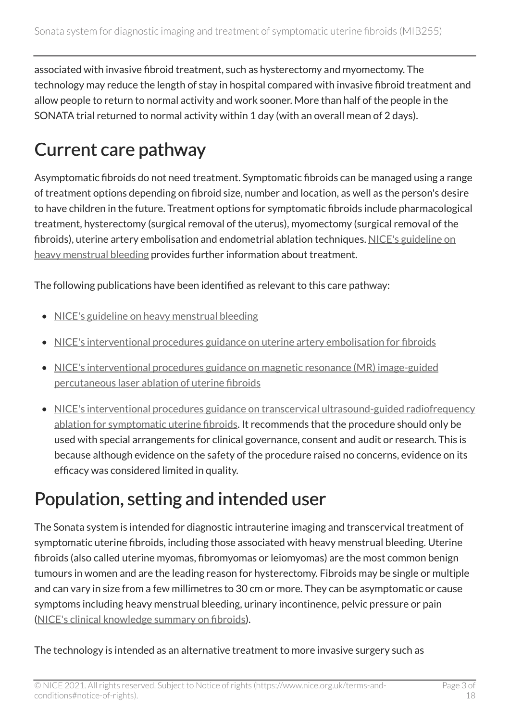associated with invasive fibroid treatment, such as hysterectomy and myomectomy. The technology may reduce the length of stay in hospital compared with invasive fibroid treatment and allow people to return to normal activity and work sooner. More than half of the people in the SONATA trial returned to normal activity within 1 day (with an overall mean of 2 days).

## Current care pathway

Asymptomatic fibroids do not need treatment. Symptomatic fibroids can be managed using a range of treatment options depending on fibroid size, number and location, as well as the person's desire to have children in the future. Treatment options for symptomatic fibroids include pharmacological treatment, hysterectomy (surgical removal of the uterus), myomectomy (surgical removal of the fibroids), uterine artery embolisation and endometrial ablation techniques. [NICE's guideline on](https://www.nice.org.uk/guidance/ng88)  [heavy menstrual bleeding](https://www.nice.org.uk/guidance/ng88) provides further information about treatment.

The following publications have been identified as relevant to this care pathway:

- [NICE's guideline on heavy menstrual bleeding](https://www.nice.org.uk/guidance/ng88)
- [NICE's interventional procedures guidance on uterine artery embolisation for fibroids](https://www.nice.org.uk/guidance/ipg367)
- [NICE's interventional procedures guidance on magnetic resonance \(MR\) image-guided](https://www.nice.org.uk/guidance/ipg30) [percutaneous laser ablation of uterine fibroids](https://www.nice.org.uk/guidance/ipg30)
- NICE's interventional procedures guidance on transcervical ultrasound-guided radiofrequency [ablation for symptomatic uterine fibroids](https://www.nice.org.uk/guidance/ipg689). It recommends that the procedure should only be used with special arrangements for clinical governance, consent and audit or research. This is because although evidence on the safety of the procedure raised no concerns, evidence on its efficacy was considered limited in quality.

### Population, setting and intended user

The Sonata system is intended for diagnostic intrauterine imaging and transcervical treatment of symptomatic uterine fibroids, including those associated with heavy menstrual bleeding. Uterine fibroids (also called uterine myomas, fibromyomas or leiomyomas) are the most common benign tumours in women and are the leading reason for hysterectomy. Fibroids may be single or multiple and can vary in size from a few millimetres to 30 cm or more. They can be asymptomatic or cause symptoms including heavy menstrual bleeding, urinary incontinence, pelvic pressure or pain ([NICE's clinical knowledge summary on fibroids\)](https://cks.nice.org.uk/fibroids).

The technology is intended as an alternative treatment to more invasive surgery such as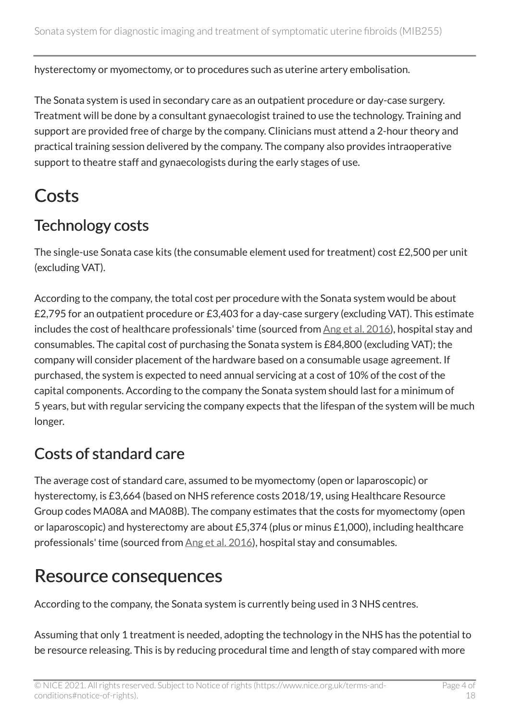hysterectomy or myomectomy, or to procedures such as uterine artery embolisation.

The Sonata system is used in secondary care as an outpatient procedure or day-case surgery. Treatment will be done by a consultant gynaecologist trained to use the technology. Training and support are provided free of charge by the company. Clinicians must attend a 2-hour theory and practical training session delivered by the company. The company also provides intraoperative support to theatre staff and gynaecologists during the early stages of use.

### Costs

### Technology costs

The single-use Sonata case kits (the consumable element used for treatment) cost £2,500 per unit (excluding VAT).

According to the company, the total cost per procedure with the Sonata system would be about £2,795 for an outpatient procedure or £3,403 for a day-case surgery (excluding VAT). This estimate includes the cost of healthcare professionals' time (sourced from [Ang et al. 2016\)](https://www.ncbi.nlm.nih.gov/pmc/articles/PMC4796663/), hospital stay and consumables. The capital cost of purchasing the Sonata system is £84,800 (excluding VAT); the company will consider placement of the hardware based on a consumable usage agreement. If purchased, the system is expected to need annual servicing at a cost of 10% of the cost of the capital components. According to the company the Sonata system should last for a minimum of 5 years, but with regular servicing the company expects that the lifespan of the system will be much longer.

### Costs of standard care

The average cost of standard care, assumed to be myomectomy (open or laparoscopic) or hysterectomy, is £3,664 (based on NHS reference costs 2018/19, using Healthcare Resource Group codes MA08A and MA08B). The company estimates that the costs for myomectomy (open or laparoscopic) and hysterectomy are about £5,374 (plus or minus £1,000), including healthcare professionals' time (sourced from [Ang et al. 2016\)](https://www.ncbi.nlm.nih.gov/pmc/articles/PMC4796663/), hospital stay and consumables.

### Resource consequences

According to the company, the Sonata system is currently being used in 3 NHS centres.

Assuming that only 1 treatment is needed, adopting the technology in the NHS has the potential to be resource releasing. This is by reducing procedural time and length of stay compared with more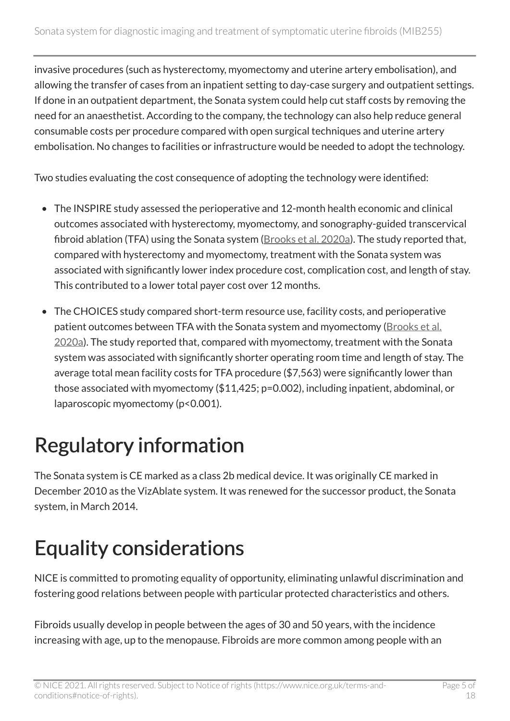invasive procedures (such as hysterectomy, myomectomy and uterine artery embolisation), and allowing the transfer of cases from an inpatient setting to day-case surgery and outpatient settings. If done in an outpatient department, the Sonata system could help cut staff costs by removing the need for an anaesthetist. According to the company, the technology can also help reduce general consumable costs per procedure compared with open surgical techniques and uterine artery embolisation. No changes to facilities or infrastructure would be needed to adopt the technology.

Two studies evaluating the cost consequence of adopting the technology were identified:

- The INSPIRE study assessed the perioperative and 12-month health economic and clinical outcomes associated with hysterectomy, myomectomy, and sonography-guided transcervical fibroid ablation (TFA) using the Sonata system ([Brooks et al. 2020a\)](https://www.ncbi.nlm.nih.gov/pmc/articles/PMC6955606/). The study reported that, compared with hysterectomy and myomectomy, treatment with the Sonata system was associated with significantly lower index procedure cost, complication cost, and length of stay. This contributed to a lower total payer cost over 12 months.
- The CHOICES study compared short-term resource use, facility costs, and perioperative patient outcomes between TFA with the Sonata system and myomectomy (Brooks et al. [2020a](https://www.ncbi.nlm.nih.gov/pmc/articles/PMC7297324/)). The study reported that, compared with myomectomy, treatment with the Sonata system was associated with significantly shorter operating room time and length of stay. The average total mean facility costs for TFA procedure (\$7,563) were significantly lower than those associated with myomectomy (\$11,425; p=0.002), including inpatient, abdominal, or laparoscopic myomectomy (p<0.001).

# Regulatory information

The Sonata system is CE marked as a class 2b medical device. It was originally CE marked in December 2010 as the VizAblate system. It was renewed for the successor product, the Sonata system, in March 2014.

# Equality considerations

NICE is committed to promoting equality of opportunity, eliminating unlawful discrimination and fostering good relations between people with particular protected characteristics and others.

Fibroids usually develop in people between the ages of 30 and 50 years, with the incidence increasing with age, up to the menopause. Fibroids are more common among people with an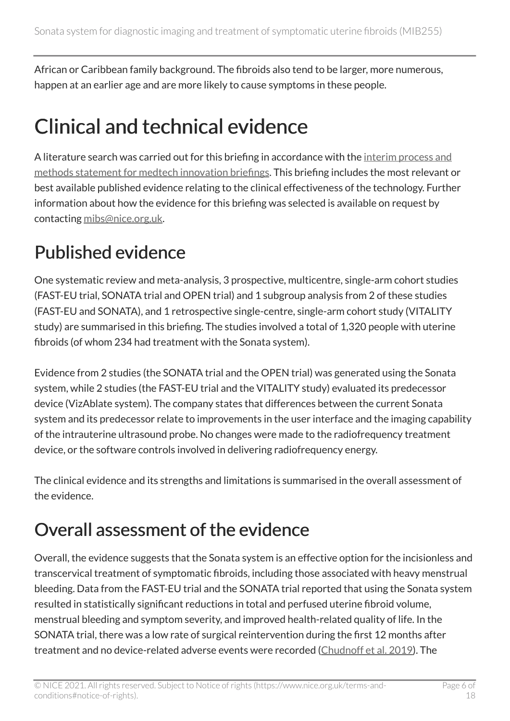African or Caribbean family background. The fibroids also tend to be larger, more numerous, happen at an earlier age and are more likely to cause symptoms in these people.

# Clinical and technical evidence

A literature search was carried out for this briefing in accordance with the interim process and [methods statement for medtech innovation briefings.](https://www.nice.org.uk/about/what-we-do/our-programmes/nice-advice/medtech-innovation-briefings) This briefing includes the most relevant or best available published evidence relating to the clinical effectiveness of the technology. Further information about how the evidence for this briefing was selected is available on request by contacting [mibs@nice.org.uk.](mailto:mibs@nice.org.uk)

## Published evidence

One systematic review and meta-analysis, 3 prospective, multicentre, single-arm cohort studies (FAST-EU trial, SONATA trial and OPEN trial) and 1 subgroup analysis from 2 of these studies (FAST-EU and SONATA), and 1 retrospective single-centre, single-arm cohort study (VITALITY study) are summarised in this briefing. The studies involved a total of 1,320 people with uterine fibroids (of whom 234 had treatment with the Sonata system).

Evidence from 2 studies (the SONATA trial and the OPEN trial) was generated using the Sonata system, while 2 studies (the FAST-EU trial and the VITALITY study) evaluated its predecessor device (VizAblate system). The company states that differences between the current Sonata system and its predecessor relate to improvements in the user interface and the imaging capability of the intrauterine ultrasound probe. No changes were made to the radiofrequency treatment device, or the software controls involved in delivering radiofrequency energy.

The clinical evidence and its strengths and limitations is summarised in the overall assessment of the evidence.

### Overall assessment of the evidence

Overall, the evidence suggests that the Sonata system is an effective option for the incisionless and transcervical treatment of symptomatic fibroids, including those associated with heavy menstrual bleeding. Data from the FAST-EU trial and the SONATA trial reported that using the Sonata system resulted in statistically significant reductions in total and perfused uterine fibroid volume, menstrual bleeding and symptom severity, and improved health-related quality of life. In the SONATA trial, there was a low rate of surgical reintervention during the first 12 months after treatment and no device-related adverse events were recorded ([Chudnoff et al. 2019\)](https://www.ncbi.nlm.nih.gov/pubmed/30531573). The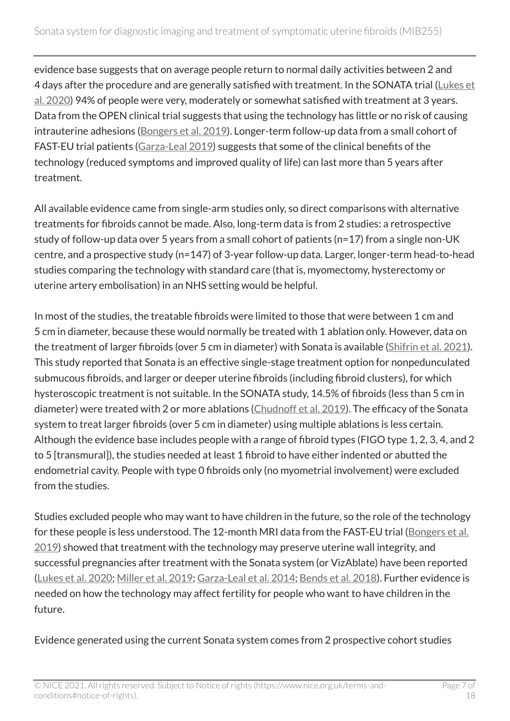evidence base suggests that on average people return to normal daily activities between 2 and 4 days after the procedure and are generally satisfied with treatment. In the SONATA trial (Lukes et [al. 2020\)](https://www.ncbi.nlm.nih.gov/pmc/articles/PMC7548023/) 94% of people were very, moderately or somewhat satisfied with treatment at 3 years. Data from the OPEN clinical trial suggests that using the technology has little or no risk of causing intrauterine adhesions [\(Bongers et al. 2019\)](https://pubmed.ncbi.nlm.nih.gov/31580964/). Longer-term follow-up data from a small cohort of FAST-EU trial patients [\(Garza-Leal 2019](https://www.ncbi.nlm.nih.gov/pmc/articles/PMC6354599/)) suggests that some of the clinical benefits of the technology (reduced symptoms and improved quality of life) can last more than 5 years after treatment.

All available evidence came from single-arm studies only, so direct comparisons with alternative treatments for fibroids cannot be made. Also, long-term data is from 2 studies: a retrospective study of follow-up data over 5 years from a small cohort of patients (n=17) from a single non-UK centre, and a prospective study (n=147) of 3-year follow-up data. Larger, longer-term head-to-head studies comparing the technology with standard care (that is, myomectomy, hysterectomy or uterine artery embolisation) in an NHS setting would be helpful.

In most of the studies, the treatable fibroids were limited to those that were between 1 cm and 5 cm in diameter, because these would normally be treated with 1 ablation only. However, data on the treatment of larger fibroids (over 5 cm in diameter) with Sonata is available ([Shifrin et al. 2021\)](https://obgyn.onlinelibrary.wiley.com/doi/full/10.1002/ijgo.13638). This study reported that Sonata is an effective single-stage treatment option for nonpedunculated submucous fibroids, and larger or deeper uterine fibroids (including fibroid clusters), for which hysteroscopic treatment is not suitable. In the SONATA study, 14.5% of fibroids (less than 5 cm in diameter) were treated with 2 or more ablations ([Chudnoff et al. 2019\)](https://www.ncbi.nlm.nih.gov/pubmed/30531573). The efficacy of the Sonata system to treat larger fibroids (over 5 cm in diameter) using multiple ablations is less certain. Although the evidence base includes people with a range of fibroid types (FIGO type 1, 2, 3, 4, and 2 to 5 [transmural]), the studies needed at least 1 fibroid to have either indented or abutted the endometrial cavity. People with type 0 fibroids only (no myometrial involvement) were excluded from the studies.

Studies excluded people who may want to have children in the future, so the role of the technology for these people is less understood. The 12-month MRI data from the FAST-EU trial ([Bongers et al.](https://www.ncbi.nlm.nih.gov/pmc/articles/PMC6785167/) [2019\)](https://www.ncbi.nlm.nih.gov/pmc/articles/PMC6785167/) showed that treatment with the technology may preserve uterine wall integrity, and successful pregnancies after treatment with the Sonata system (or VizAblate) have been reported ([Lukes et al. 2020](https://www.ncbi.nlm.nih.gov/pmc/articles/PMC7548023/); [Miller et al. 2019](https://www.ncbi.nlm.nih.gov/pmc/articles/PMC7099422/); [Garza-Leal et al. 2014;](https://link.springer.com/article/10.1007/s10397-013-0830-4) [Bends et al. 2018\)](https://www.ncbi.nlm.nih.gov/pubmed/30038526). Further evidence is needed on how the technology may affect fertility for people who want to have children in the future.

Evidence generated using the current Sonata system comes from 2 prospective cohort studies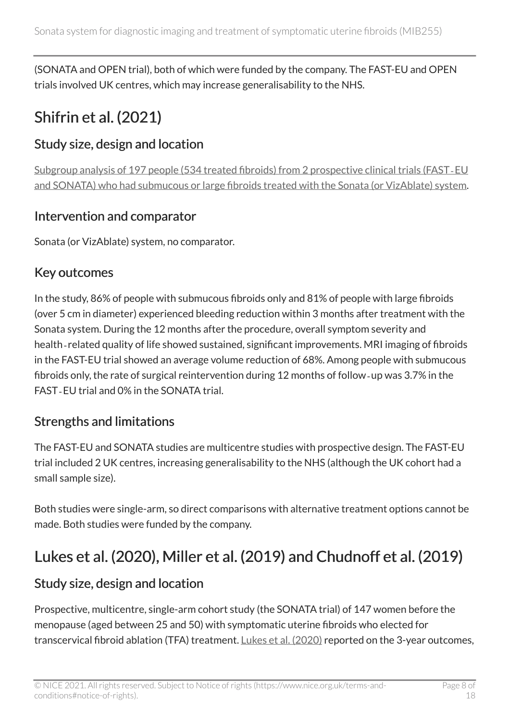(SONATA and OPEN trial), both of which were funded by the company. The FAST-EU and OPEN trials involved UK centres, which may increase generalisability to the NHS.

### Shifrin et al. (2021)

#### Study size, design and location

[Subgroup analysis of 197 people \(534 treated fibroids\) from 2 prospective clinical trials \(FAST](https://obgyn.onlinelibrary.wiley.com/doi/10.1002/ijgo.13638)‐EU [and SONATA\) who had submucous or large fibroids treated with the Sonata \(or VizAblate\) system.](https://obgyn.onlinelibrary.wiley.com/doi/10.1002/ijgo.13638)

#### Intervention and comparator

Sonata (or VizAblate) system, no comparator.

#### Key outcomes

In the study, 86% of people with submucous fibroids only and 81% of people with large fibroids (over 5 cm in diameter) experienced bleeding reduction within 3 months after treatment with the Sonata system. During the 12 months after the procedure, overall symptom severity and health-related quality of life showed sustained, significant improvements. MRI imaging of fibroids in the FAST-EU trial showed an average volume reduction of 68%. Among people with submucous fibroids only, the rate of surgical reintervention during 12 months of follow‐up was 3.7% in the FAST‐EU trial and 0% in the SONATA trial.

#### Strengths and limitations

The FAST-EU and SONATA studies are multicentre studies with prospective design. The FAST-EU trial included 2 UK centres, increasing generalisability to the NHS (although the UK cohort had a small sample size).

Both studies were single-arm, so direct comparisons with alternative treatment options cannot be made. Both studies were funded by the company.

### Lukes et al. (2020), Miller et al. (2019) and Chudnoff et al. (2019)

#### Study size, design and location

Prospective, multicentre, single-arm cohort study (the SONATA trial) of 147 women before the menopause (aged between 25 and 50) with symptomatic uterine fibroids who elected for transcervical fibroid ablation (TFA) treatment. [Lukes et al. \(2020\)](https://www.ncbi.nlm.nih.gov/pmc/articles/PMC7548023/) reported on the 3-year outcomes,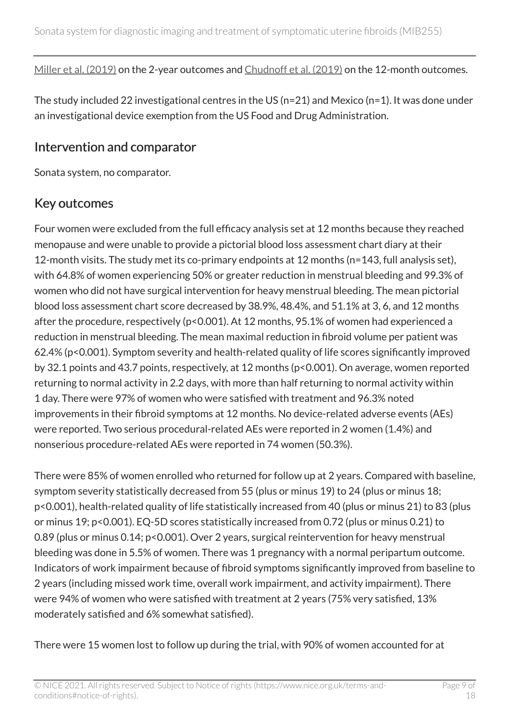[Miller et al. \(2019\)](https://www.ncbi.nlm.nih.gov/pmc/articles/PMC7099422/) on the 2-year outcomes and [Chudnoff et al. \(2019\)](https://www.ncbi.nlm.nih.gov/pubmed/30531573) on the 12-month outcomes.

The study included 22 investigational centres in the US (n=21) and Mexico (n=1). It was done under an investigational device exemption from the US Food and Drug Administration.

#### Intervention and comparator

Sonata system, no comparator.

#### Key outcomes

Four women were excluded from the full efficacy analysis set at 12 months because they reached menopause and were unable to provide a pictorial blood loss assessment chart diary at their 12-month visits. The study met its co-primary endpoints at 12 months (n=143, full analysis set), with 64.8% of women experiencing 50% or greater reduction in menstrual bleeding and 99.3% of women who did not have surgical intervention for heavy menstrual bleeding. The mean pictorial blood loss assessment chart score decreased by 38.9%, 48.4%, and 51.1% at 3, 6, and 12 months after the procedure, respectively (p<0.001). At 12 months, 95.1% of women had experienced a reduction in menstrual bleeding. The mean maximal reduction in fibroid volume per patient was 62.4% (p<0.001). Symptom severity and health-related quality of life scores significantly improved by 32.1 points and 43.7 points, respectively, at 12 months (p<0.001). On average, women reported returning to normal activity in 2.2 days, with more than half returning to normal activity within 1 day. There were 97% of women who were satisfied with treatment and 96.3% noted improvements in their fibroid symptoms at 12 months. No device-related adverse events (AEs) were reported. Two serious procedural-related AEs were reported in 2 women (1.4%) and nonserious procedure-related AEs were reported in 74 women (50.3%).

There were 85% of women enrolled who returned for follow up at 2 years. Compared with baseline, symptom severity statistically decreased from 55 (plus or minus 19) to 24 (plus or minus 18; p<0.001), health-related quality of life statistically increased from 40 (plus or minus 21) to 83 (plus or minus 19; p<0.001). EQ-5D scores statistically increased from 0.72 (plus or minus 0.21) to 0.89 (plus or minus 0.14; p<0.001). Over 2 years, surgical reintervention for heavy menstrual bleeding was done in 5.5% of women. There was 1 pregnancy with a normal peripartum outcome. Indicators of work impairment because of fibroid symptoms significantly improved from baseline to 2 years (including missed work time, overall work impairment, and activity impairment). There were 94% of women who were satisfied with treatment at 2 years (75% very satisfied, 13% moderately satisfied and 6% somewhat satisfied).

There were 15 women lost to follow up during the trial, with 90% of women accounted for at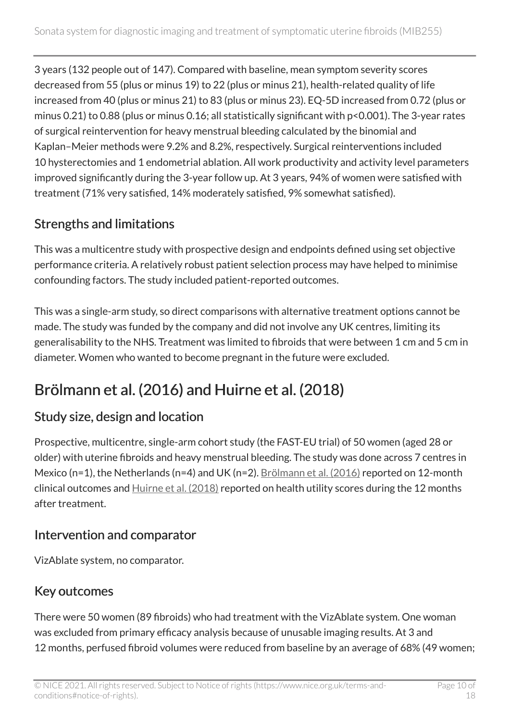3 years (132 people out of 147). Compared with baseline, mean symptom severity scores decreased from 55 (plus or minus 19) to 22 (plus or minus 21), health-related quality of life increased from 40 (plus or minus 21) to 83 (plus or minus 23). EQ-5D increased from 0.72 (plus or minus 0.21) to 0.88 (plus or minus 0.16; all statistically significant with p<0.001). The 3-year rates of surgical reintervention for heavy menstrual bleeding calculated by the binomial and Kaplan–Meier methods were 9.2% and 8.2%, respectively. Surgical reinterventions included 10 hysterectomies and 1 endometrial ablation. All work productivity and activity level parameters improved significantly during the 3-year follow up. At 3 years, 94% of women were satisfied with treatment (71% very satisfied, 14% moderately satisfied, 9% somewhat satisfied).

#### Strengths and limitations

This was a multicentre study with prospective design and endpoints defined using set objective performance criteria. A relatively robust patient selection process may have helped to minimise confounding factors. The study included patient-reported outcomes.

This was a single-arm study, so direct comparisons with alternative treatment options cannot be made. The study was funded by the company and did not involve any UK centres, limiting its generalisability to the NHS. Treatment was limited to fibroids that were between 1 cm and 5 cm in diameter. Women who wanted to become pregnant in the future were excluded.

### Brölmann et al. (2016) and Huirne et al. (2018)

#### Study size, design and location

Prospective, multicentre, single-arm cohort study (the FAST-EU trial) of 50 women (aged 28 or older) with uterine fibroids and heavy menstrual bleeding. The study was done across 7 centres in Mexico (n=1), the Netherlands (n=4) and UK (n=2). [Brölmann et al. \(2016\)](https://www.ncbi.nlm.nih.gov/pmc/articles/PMC4753243/) reported on 12-month clinical outcomes and  $H$ uirne et al. (2018) reported on health utility scores during the 12 months after treatment.

#### Intervention and comparator

VizAblate system, no comparator.

#### Key outcomes

There were 50 women (89 fibroids) who had treatment with the VizAblate system. One woman was excluded from primary efficacy analysis because of unusable imaging results. At 3 and 12 months, perfused fibroid volumes were reduced from baseline by an average of 68% (49 women;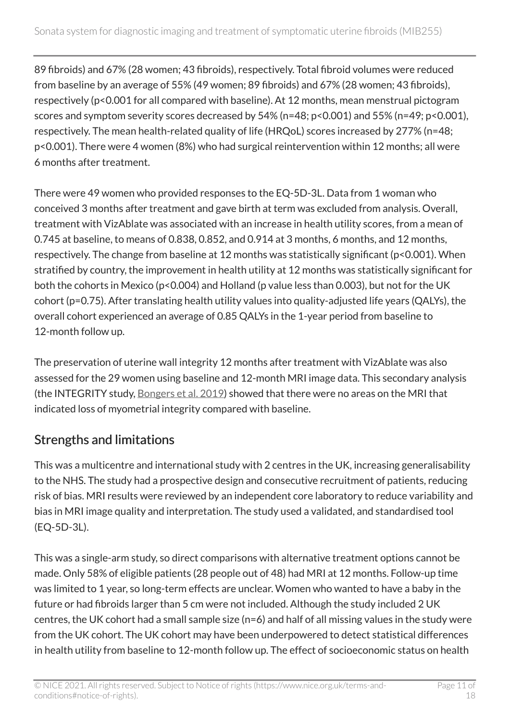89 fibroids) and 67% (28 women; 43 fibroids), respectively. Total fibroid volumes were reduced from baseline by an average of 55% (49 women; 89 fibroids) and 67% (28 women; 43 fibroids), respectively (p<0.001 for all compared with baseline). At 12 months, mean menstrual pictogram scores and symptom severity scores decreased by 54% (n=48; p<0.001) and 55% (n=49; p<0.001), respectively. The mean health-related quality of life (HRQoL) scores increased by 277% (n=48; p<0.001). There were 4 women (8%) who had surgical reintervention within 12 months; all were 6 months after treatment.

There were 49 women who provided responses to the EQ-5D-3L. Data from 1 woman who conceived 3 months after treatment and gave birth at term was excluded from analysis. Overall, treatment with VizAblate was associated with an increase in health utility scores, from a mean of 0.745 at baseline, to means of 0.838, 0.852, and 0.914 at 3 months, 6 months, and 12 months, respectively. The change from baseline at 12 months was statistically significant (p<0.001). When stratified by country, the improvement in health utility at 12 months was statistically significant for both the cohorts in Mexico (p<0.004) and Holland (p value less than 0.003), but not for the UK cohort (p=0.75). After translating health utility values into quality-adjusted life years (QALYs), the overall cohort experienced an average of 0.85 QALYs in the 1-year period from baseline to 12-month follow up.

The preservation of uterine wall integrity 12 months after treatment with VizAblate was also assessed for the 29 women using baseline and 12-month MRI image data. This secondary analysis (the INTEGRITY study, [Bongers et al. 2019](https://www.ncbi.nlm.nih.gov/pmc/articles/PMC6785167/)) showed that there were no areas on the MRI that indicated loss of myometrial integrity compared with baseline.

#### Strengths and limitations

This was a multicentre and international study with 2 centres in the UK, increasing generalisability to the NHS. The study had a prospective design and consecutive recruitment of patients, reducing risk of bias. MRI results were reviewed by an independent core laboratory to reduce variability and bias in MRI image quality and interpretation. The study used a validated, and standardised tool (EQ-5D-3L).

This was a single-arm study, so direct comparisons with alternative treatment options cannot be made. Only 58% of eligible patients (28 people out of 48) had MRI at 12 months. Follow-up time was limited to 1 year, so long-term effects are unclear. Women who wanted to have a baby in the future or had fibroids larger than 5 cm were not included. Although the study included 2 UK centres, the UK cohort had a small sample size (n=6) and half of all missing values in the study were from the UK cohort. The UK cohort may have been underpowered to detect statistical differences in health utility from baseline to 12-month follow up. The effect of socioeconomic status on health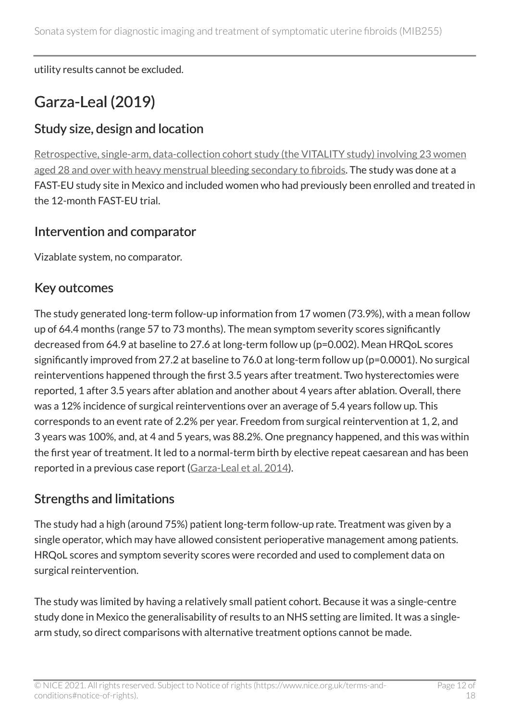utility results cannot be excluded.

### Garza-Leal (2019)

#### Study size, design and location

[Retrospective, single-arm, data-collection cohort study \(the VITALITY study\) involving 23 women](https://www.ncbi.nlm.nih.gov/pmc/articles/PMC6354599/)  [aged 28 and over with heavy menstrual bleeding secondary to fibroids](https://www.ncbi.nlm.nih.gov/pmc/articles/PMC6354599/). The study was done at a FAST-EU study site in Mexico and included women who had previously been enrolled and treated in the 12-month FAST-EU trial.

#### Intervention and comparator

Vizablate system, no comparator.

#### Key outcomes

The study generated long-term follow-up information from 17 women (73.9%), with a mean follow up of 64.4 months (range 57 to 73 months). The mean symptom severity scores significantly decreased from 64.9 at baseline to 27.6 at long-term follow up (p=0.002). Mean HRQoL scores significantly improved from 27.2 at baseline to 76.0 at long-term follow up (p=0.0001). No surgical reinterventions happened through the first 3.5 years after treatment. Two hysterectomies were reported, 1 after 3.5 years after ablation and another about 4 years after ablation. Overall, there was a 12% incidence of surgical reinterventions over an average of 5.4 years follow up. This corresponds to an event rate of 2.2% per year. Freedom from surgical reintervention at 1, 2, and 3 years was 100%, and, at 4 and 5 years, was 88.2%. One pregnancy happened, and this was within the first year of treatment. It led to a normal-term birth by elective repeat caesarean and has been reported in a previous case report [\(Garza-Leal et al. 2014](https://link.springer.com/article/10.1007/s10397-013-0830-4)).

#### Strengths and limitations

The study had a high (around 75%) patient long-term follow-up rate. Treatment was given by a single operator, which may have allowed consistent perioperative management among patients. HRQoL scores and symptom severity scores were recorded and used to complement data on surgical reintervention.

The study was limited by having a relatively small patient cohort. Because it was a single-centre study done in Mexico the generalisability of results to an NHS setting are limited. It was a singlearm study, so direct comparisons with alternative treatment options cannot be made.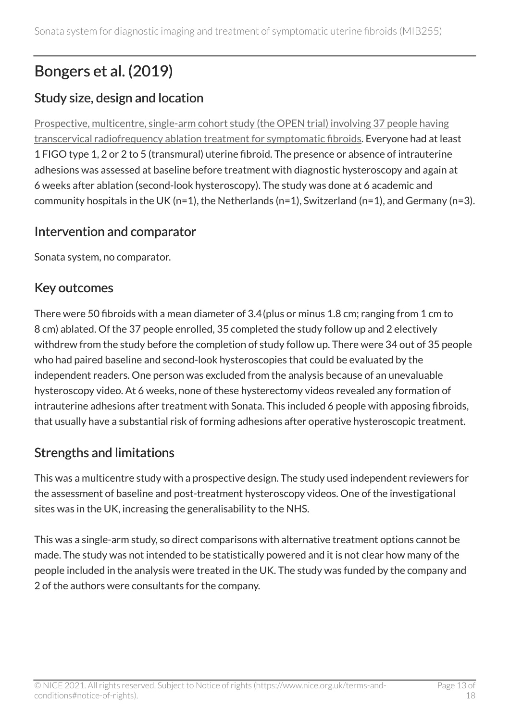### Bongers et al. (2019)

#### Study size, design and location

[Prospective, multicentre, single-arm cohort study \(the OPEN trial\) involving 37 people having](https://pubmed.ncbi.nlm.nih.gov/31580964/) [transcervical radiofrequency ablation treatment for symptomatic fibroids.](https://pubmed.ncbi.nlm.nih.gov/31580964/) Everyone had at least 1 FIGO type 1, 2 or 2 to 5 (transmural) uterine fibroid. The presence or absence of intrauterine adhesions was assessed at baseline before treatment with diagnostic hysteroscopy and again at 6 weeks after ablation (second-look hysteroscopy). The study was done at 6 academic and community hospitals in the UK (n=1), the Netherlands (n=1), Switzerland (n=1), and Germany (n=3).

#### Intervention and comparator

Sonata system, no comparator.

#### Key outcomes

There were 50 fibroids with a mean diameter of 3.4(plus or minus 1.8 cm; ranging from 1 cm to 8 cm) ablated. Of the 37 people enrolled, 35 completed the study follow up and 2 electively withdrew from the study before the completion of study follow up. There were 34 out of 35 people who had paired baseline and second-look hysteroscopies that could be evaluated by the independent readers. One person was excluded from the analysis because of an unevaluable hysteroscopy video. At 6 weeks, none of these hysterectomy videos revealed any formation of intrauterine adhesions after treatment with Sonata. This included 6 people with apposing fibroids, that usually have a substantial risk of forming adhesions after operative hysteroscopic treatment.

#### Strengths and limitations

This was a multicentre study with a prospective design. The study used independent reviewers for the assessment of baseline and post-treatment hysteroscopy videos. One of the investigational sites was in the UK, increasing the generalisability to the NHS.

This was a single-arm study, so direct comparisons with alternative treatment options cannot be made. The study was not intended to be statistically powered and it is not clear how many of the people included in the analysis were treated in the UK. The study was funded by the company and 2 of the authors were consultants for the company.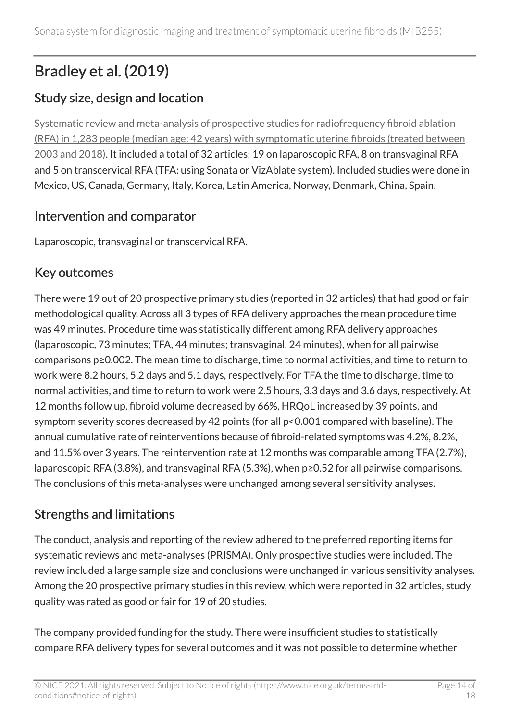### Bradley et al. (2019)

#### Study size, design and location

[Systematic review and meta-analysis of prospective studies for radiofrequency fibroid ablation](https://www.ncbi.nlm.nih.gov/pmc/articles/PMC7387230/)  [\(RFA\) in 1,283 people \(median age: 42 years\) with symptomatic uterine fibroids \(treated between](https://www.ncbi.nlm.nih.gov/pmc/articles/PMC7387230/) [2003 and 2018\)](https://www.ncbi.nlm.nih.gov/pmc/articles/PMC7387230/). It included a total of 32 articles: 19 on laparoscopic RFA, 8 on transvaginal RFA and 5 on transcervical RFA (TFA; using Sonata or VizAblate system). Included studies were done in Mexico, US, Canada, Germany, Italy, Korea, Latin America, Norway, Denmark, China, Spain.

#### Intervention and comparator

Laparoscopic, transvaginal or transcervical RFA.

#### Key outcomes

There were 19 out of 20 prospective primary studies (reported in 32 articles) that had good or fair methodological quality. Across all 3 types of RFA delivery approaches the mean procedure time was 49 minutes. Procedure time was statistically different among RFA delivery approaches (laparoscopic, 73 minutes; TFA, 44 minutes; transvaginal, 24 minutes), when for all pairwise comparisons p≥0.002. The mean time to discharge, time to normal activities, and time to return to work were 8.2 hours, 5.2 days and 5.1 days, respectively. For TFA the time to discharge, time to normal activities, and time to return to work were 2.5 hours, 3.3 days and 3.6 days, respectively. At 12 months follow up, fibroid volume decreased by 66%, HRQoL increased by 39 points, and symptom severity scores decreased by 42 points (for all p<0.001 compared with baseline). The annual cumulative rate of reinterventions because of fibroid-related symptoms was 4.2%, 8.2%, and 11.5% over 3 years. The reintervention rate at 12 months was comparable among TFA (2.7%), laparoscopic RFA (3.8%), and transvaginal RFA (5.3%), when p≥0.52 for all pairwise comparisons. The conclusions of this meta-analyses were unchanged among several sensitivity analyses.

#### Strengths and limitations

The conduct, analysis and reporting of the review adhered to the preferred reporting items for systematic reviews and meta-analyses (PRISMA). Only prospective studies were included. The review included a large sample size and conclusions were unchanged in various sensitivity analyses. Among the 20 prospective primary studies in this review, which were reported in 32 articles, study quality was rated as good or fair for 19 of 20 studies.

The company provided funding for the study. There were insufficient studies to statistically compare RFA delivery types for several outcomes and it was not possible to determine whether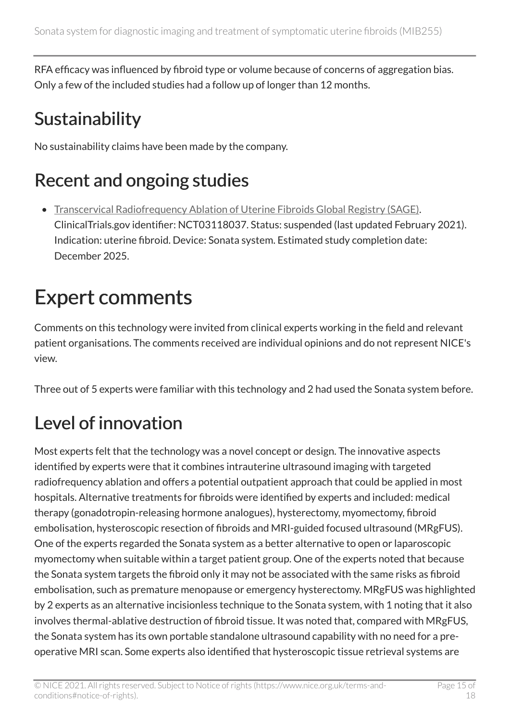RFA efficacy was influenced by fibroid type or volume because of concerns of aggregation bias. Only a few of the included studies had a follow up of longer than 12 months.

## **Sustainability**

No sustainability claims have been made by the company.

## Recent and ongoing studies

• [Transcervical Radiofrequency Ablation of Uterine Fibroids Global Registry \(SAGE\)](https://clinicaltrials.gov/ct2/show/NCT03118037). ClinicalTrials.gov identifier: NCT03118037. Status: suspended (last updated February 2021). Indication: uterine fibroid. Device: Sonata system. Estimated study completion date: December 2025.

# Expert comments

Comments on this technology were invited from clinical experts working in the field and relevant patient organisations. The comments received are individual opinions and do not represent NICE's view.

Three out of 5 experts were familiar with this technology and 2 had used the Sonata system before.

## Level of innovation

Most experts felt that the technology was a novel concept or design. The innovative aspects identified by experts were that it combines intrauterine ultrasound imaging with targeted radiofrequency ablation and offers a potential outpatient approach that could be applied in most hospitals. Alternative treatments for fibroids were identified by experts and included: medical therapy (gonadotropin-releasing hormone analogues), hysterectomy, myomectomy, fibroid embolisation, hysteroscopic resection of fibroids and MRI-guided focused ultrasound (MRgFUS). One of the experts regarded the Sonata system as a better alternative to open or laparoscopic myomectomy when suitable within a target patient group. One of the experts noted that because the Sonata system targets the fibroid only it may not be associated with the same risks as fibroid embolisation, such as premature menopause or emergency hysterectomy. MRgFUS was highlighted by 2 experts as an alternative incisionless technique to the Sonata system, with 1 noting that it also involves thermal-ablative destruction of fibroid tissue. It was noted that, compared with MRgFUS, the Sonata system has its own portable standalone ultrasound capability with no need for a preoperative MRI scan. Some experts also identified that hysteroscopic tissue retrieval systems are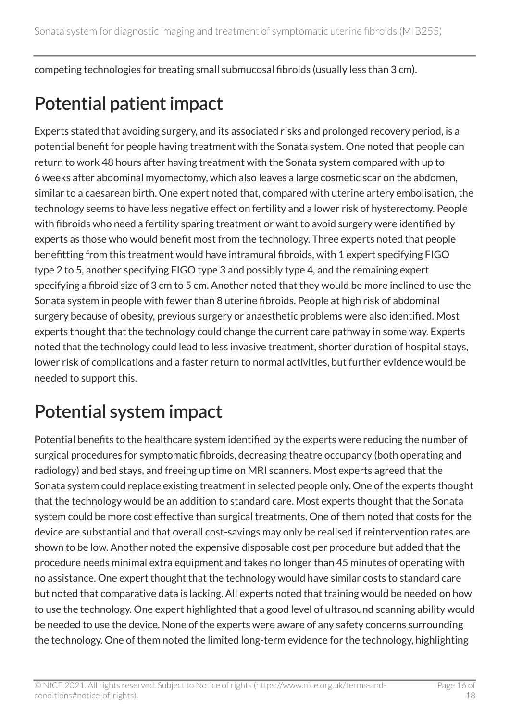competing technologies for treating small submucosal fibroids (usually less than 3 cm).

## Potential patient impact

Experts stated that avoiding surgery, and its associated risks and prolonged recovery period, is a potential benefit for people having treatment with the Sonata system. One noted that people can return to work 48 hours after having treatment with the Sonata system compared with up to 6 weeks after abdominal myomectomy, which also leaves a large cosmetic scar on the abdomen, similar to a caesarean birth. One expert noted that, compared with uterine artery embolisation, the technology seems to have less negative effect on fertility and a lower risk of hysterectomy. People with fibroids who need a fertility sparing treatment or want to avoid surgery were identified by experts as those who would benefit most from the technology. Three experts noted that people benefitting from this treatment would have intramural fibroids, with 1 expert specifying FIGO type 2 to 5, another specifying FIGO type 3 and possibly type 4, and the remaining expert specifying a fibroid size of 3 cm to 5 cm. Another noted that they would be more inclined to use the Sonata system in people with fewer than 8 uterine fibroids. People at high risk of abdominal surgery because of obesity, previous surgery or anaesthetic problems were also identified. Most experts thought that the technology could change the current care pathway in some way. Experts noted that the technology could lead to less invasive treatment, shorter duration of hospital stays, lower risk of complications and a faster return to normal activities, but further evidence would be needed to support this.

## Potential system impact

Potential benefits to the healthcare system identified by the experts were reducing the number of surgical procedures for symptomatic fibroids, decreasing theatre occupancy (both operating and radiology) and bed stays, and freeing up time on MRI scanners. Most experts agreed that the Sonata system could replace existing treatment in selected people only. One of the experts thought that the technology would be an addition to standard care. Most experts thought that the Sonata system could be more cost effective than surgical treatments. One of them noted that costs for the device are substantial and that overall cost-savings may only be realised if reintervention rates are shown to be low. Another noted the expensive disposable cost per procedure but added that the procedure needs minimal extra equipment and takes no longer than 45 minutes of operating with no assistance. One expert thought that the technology would have similar costs to standard care but noted that comparative data is lacking. All experts noted that training would be needed on how to use the technology. One expert highlighted that a good level of ultrasound scanning ability would be needed to use the device. None of the experts were aware of any safety concerns surrounding the technology. One of them noted the limited long-term evidence for the technology, highlighting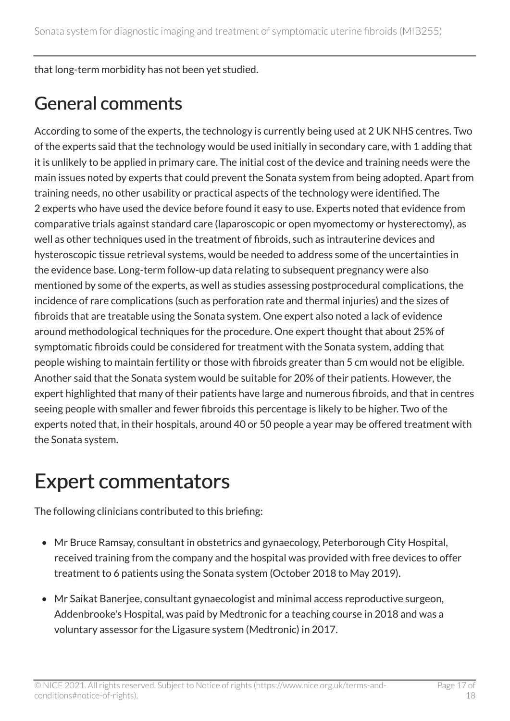that long-term morbidity has not been yet studied.

### General comments

According to some of the experts, the technology is currently being used at 2 UK NHS centres. Two of the experts said that the technology would be used initially in secondary care, with 1 adding that it is unlikely to be applied in primary care. The initial cost of the device and training needs were the main issues noted by experts that could prevent the Sonata system from being adopted. Apart from training needs, no other usability or practical aspects of the technology were identified. The 2 experts who have used the device before found it easy to use. Experts noted that evidence from comparative trials against standard care (laparoscopic or open myomectomy or hysterectomy), as well as other techniques used in the treatment of fibroids, such as intrauterine devices and hysteroscopic tissue retrieval systems, would be needed to address some of the uncertainties in the evidence base. Long-term follow-up data relating to subsequent pregnancy were also mentioned by some of the experts, as well as studies assessing postprocedural complications, the incidence of rare complications (such as perforation rate and thermal injuries) and the sizes of fibroids that are treatable using the Sonata system. One expert also noted a lack of evidence around methodological techniques for the procedure. One expert thought that about 25% of symptomatic fibroids could be considered for treatment with the Sonata system, adding that people wishing to maintain fertility or those with fibroids greater than 5 cm would not be eligible. Another said that the Sonata system would be suitable for 20% of their patients. However, the expert highlighted that many of their patients have large and numerous fibroids, and that in centres seeing people with smaller and fewer fibroids this percentage is likely to be higher. Two of the experts noted that, in their hospitals, around 40 or 50 people a year may be offered treatment with the Sonata system.

## Expert commentators

The following clinicians contributed to this briefing:

- Mr Bruce Ramsay, consultant in obstetrics and gynaecology, Peterborough City Hospital, received training from the company and the hospital was provided with free devices to offer treatment to 6 patients using the Sonata system (October 2018 to May 2019).
- Mr Saikat Banerjee, consultant gynaecologist and minimal access reproductive surgeon, Addenbrooke's Hospital, was paid by Medtronic for a teaching course in 2018 and was a voluntary assessor for the Ligasure system (Medtronic) in 2017.